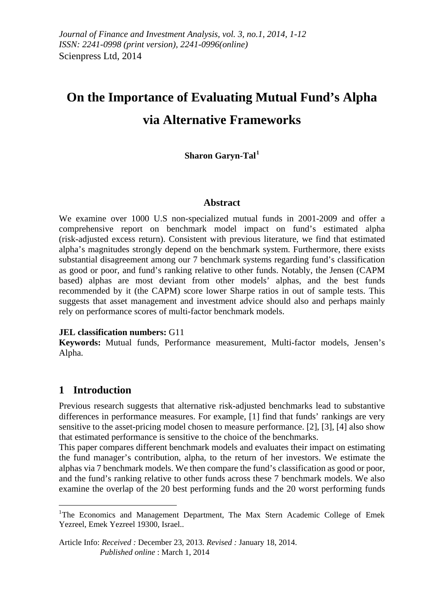# **On the Importance of Evaluating Mutual Fund's Alpha via Alternative Frameworks**

**Sharon Garyn-Tal[1](#page-0-0)**

#### **Abstract**

We examine over 1000 U.S non-specialized mutual funds in 2001-2009 and offer a comprehensive report on benchmark model impact on fund's estimated alpha (risk-adjusted excess return). Consistent with previous literature, we find that estimated alpha's magnitudes strongly depend on the benchmark system. Furthermore, there exists substantial disagreement among our 7 benchmark systems regarding fund's classification as good or poor, and fund's ranking relative to other funds. Notably, the Jensen (CAPM based) alphas are most deviant from other models' alphas, and the best funds recommended by it (the CAPM) score lower Sharpe ratios in out of sample tests. This suggests that asset management and investment advice should also and perhaps mainly rely on performance scores of multi-factor benchmark models.

#### **JEL classification numbers:** G11

**Keywords:** Mutual funds, Performance measurement, Multi-factor models, Jensen's Alpha.

# **1 Introduction**

<u>.</u>

Previous research suggests that alternative risk-adjusted benchmarks lead to substantive differences in performance measures. For example, [1] find that funds' rankings are very sensitive to the asset-pricing model chosen to measure performance. [2], [3], [4] also show that estimated performance is sensitive to the choice of the benchmarks.

This paper compares different benchmark models and evaluates their impact on estimating the fund manager's contribution, alpha, to the return of her investors. We estimate the alphas via 7 benchmark models. We then compare the fund's classification as good or poor, and the fund's ranking relative to other funds across these 7 benchmark models. We also examine the overlap of the 20 best performing funds and the 20 worst performing funds

<span id="page-0-0"></span><sup>&</sup>lt;sup>1</sup>The Economics and Management Department, The Max Stern Academic College of Emek Yezreel, Emek Yezreel 19300, Israel..

Article Info: *Received :* December 23, 2013*. Revised :* January 18, 2014.  *Published online* : March 1, 2014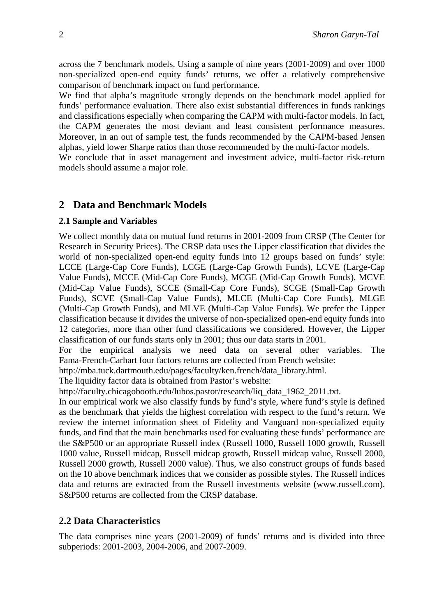across the 7 benchmark models. Using a sample of nine years (2001-2009) and over 1000 non-specialized open-end equity funds' returns, we offer a relatively comprehensive comparison of benchmark impact on fund performance.

We find that alpha's magnitude strongly depends on the benchmark model applied for funds' performance evaluation. There also exist substantial differences in funds rankings and classifications especially when comparing the CAPM with multi-factor models. In fact, the CAPM generates the most deviant and least consistent performance measures. Moreover, in an out of sample test, the funds recommended by the CAPM-based Jensen alphas, yield lower Sharpe ratios than those recommended by the multi-factor models.

We conclude that in asset management and investment advice, multi-factor risk-return models should assume a major role.

# **2 Data and Benchmark Models**

#### **2.1 Sample and Variables**

We collect monthly data on mutual fund returns in 2001-2009 from CRSP (The Center for Research in Security Prices). The CRSP data uses the Lipper classification that divides the world of non-specialized open-end equity funds into 12 groups based on funds' style: LCCE (Large-Cap Core Funds), LCGE (Large-Cap Growth Funds), LCVE (Large-Cap Value Funds), MCCE (Mid-Cap Core Funds), MCGE (Mid-Cap Growth Funds), MCVE (Mid-Cap Value Funds), SCCE (Small-Cap Core Funds), SCGE (Small-Cap Growth Funds), SCVE (Small-Cap Value Funds), MLCE (Multi-Cap Core Funds), MLGE (Multi-Cap Growth Funds), and MLVE (Multi-Cap Value Funds). We prefer the Lipper classification because it divides the universe of non-specialized open-end equity funds into 12 categories, more than other fund classifications we considered. However, the Lipper classification of our funds starts only in 2001; thus our data starts in 2001.

For the empirical analysis we need data on several other variables. The Fama-French-Carhart four factors returns are collected from French website:

http://mba.tuck.dartmouth.edu/pages/faculty/ken.french/data\_library.html.

The liquidity factor data is obtained from Pastor's website:

http://faculty.chicagobooth.edu/lubos.pastor/research/liq\_data\_1962\_2011.txt.

In our empirical work we also classify funds by fund's style, where fund's style is defined as the benchmark that yields the highest correlation with respect to the fund's return. We review the internet information sheet of Fidelity and Vanguard non-specialized equity funds, and find that the main benchmarks used for evaluating these funds' performance are the S&P500 or an appropriate Russell index (Russell 1000, Russell 1000 growth, Russell 1000 value, Russell midcap, Russell midcap growth, Russell midcap value, Russell 2000, Russell 2000 growth, Russell 2000 value). Thus, we also construct groups of funds based on the 10 above benchmark indices that we consider as possible styles. The Russell indices data and returns are extracted from the Russell investments website (www.russell.com). S&P500 returns are collected from the CRSP database.

## **2.2 Data Characteristics**

The data comprises nine years (2001-2009) of funds' returns and is divided into three subperiods: 2001-2003, 2004-2006, and 2007-2009.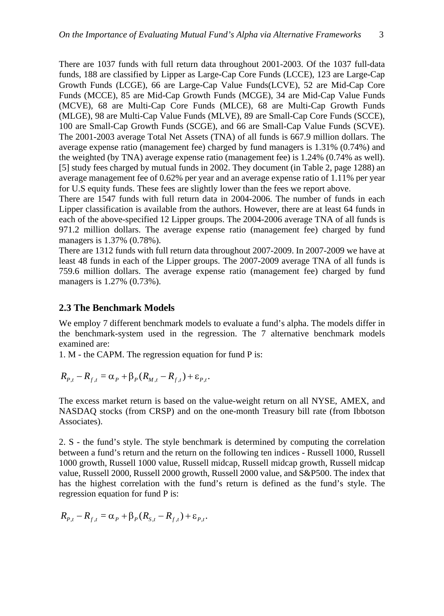There are 1037 funds with full return data throughout 2001-2003. Of the 1037 full-data funds, 188 are classified by Lipper as Large-Cap Core Funds (LCCE), 123 are Large-Cap Growth Funds (LCGE), 66 are Large-Cap Value Funds(LCVE), 52 are Mid-Cap Core Funds (MCCE), 85 are Mid-Cap Growth Funds (MCGE), 34 are Mid-Cap Value Funds (MCVE), 68 are Multi-Cap Core Funds (MLCE), 68 are Multi-Cap Growth Funds (MLGE), 98 are Multi-Cap Value Funds (MLVE), 89 are Small-Cap Core Funds (SCCE), 100 are Small-Cap Growth Funds (SCGE), and 66 are Small-Cap Value Funds (SCVE). The 2001-2003 average Total Net Assets (TNA) of all funds is 667.9 million dollars. The average expense ratio (management fee) charged by fund managers is 1.31% (0.74%) and the weighted (by TNA) average expense ratio (management fee) is 1.24% (0.74% as well). [5] study fees charged by mutual funds in 2002. They document (in Table 2, page 1288) an average management fee of 0.62% per year and an average expense ratio of 1.11% per year for U.S equity funds. These fees are slightly lower than the fees we report above.

There are 1547 funds with full return data in 2004-2006. The number of funds in each Lipper classification is available from the authors. However, there are at least 64 funds in each of the above-specified 12 Lipper groups. The 2004-2006 average TNA of all funds is 971.2 million dollars. The average expense ratio (management fee) charged by fund managers is 1.37% (0.78%).

There are 1312 funds with full return data throughout 2007-2009. In 2007-2009 we have at least 48 funds in each of the Lipper groups. The 2007-2009 average TNA of all funds is 759.6 million dollars. The average expense ratio (management fee) charged by fund managers is 1.27% (0.73%).

#### **2.3 The Benchmark Models**

We employ 7 different benchmark models to evaluate a fund's alpha. The models differ in the benchmark-system used in the regression. The 7 alternative benchmark models examined are:

1. M - the CAPM. The regression equation for fund P is:

$$
R_{P,t} - R_{f,t} = \alpha_P + \beta_P (R_{M,t} - R_{f,t}) + \varepsilon_{P,t}.
$$

The excess market return is based on the value-weight return on all NYSE, AMEX, and NASDAQ stocks (from CRSP) and on the one-month Treasury bill rate (from Ibbotson Associates).

2. S - the fund's style. The style benchmark is determined by computing the correlation between a fund's return and the return on the following ten indices - Russell 1000, Russell 1000 growth, Russell 1000 value, Russell midcap, Russell midcap growth, Russell midcap value, Russell 2000, Russell 2000 growth, Russell 2000 value, and S&P500. The index that has the highest correlation with the fund's return is defined as the fund's style. The regression equation for fund P is:

$$
R_{P,t} - R_{f,t} = \alpha_P + \beta_P (R_{S,t} - R_{f,t}) + \varepsilon_{P,t}.
$$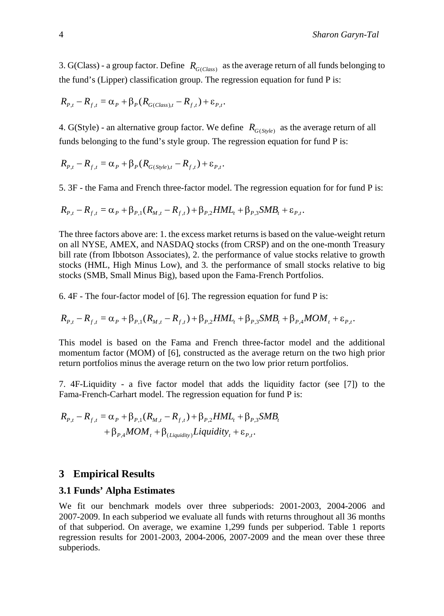3. G(Class) - a group factor. Define  $R_{G(C|ass)}$  as the average return of all funds belonging to the fund's (Lipper) classification group. The regression equation for fund P is:

$$
R_{P,t} - R_{f,t} = \alpha_P + \beta_P (R_{G(Class),t} - R_{f,t}) + \varepsilon_{P,t}.
$$

4. G(Style) - an alternative group factor. We define  $R_{G(Svle)}$  as the average return of all funds belonging to the fund's style group. The regression equation for fund P is:

$$
R_{P,t} - R_{f,t} = \alpha_P + \beta_P (R_{G(Style),t} - R_{f,t}) + \varepsilon_{P,t}.
$$

5. 3F - the Fama and French three-factor model. The regression equation for for fund P is:

$$
R_{p,t} - R_{f,t} = \alpha_p + \beta_{p,1}(R_{M,t} - R_{f,t}) + \beta_{p,2}HML_t + \beta_{p,3}SMB_t + \varepsilon_{p,t}.
$$

The three factors above are: 1. the excess market returns is based on the value-weight return on all NYSE, AMEX, and NASDAQ stocks (from CRSP) and on the one-month Treasury bill rate (from Ibbotson Associates), 2. the performance of value stocks relative to growth stocks (HML, High Minus Low), and 3. the performance of small stocks relative to big stocks (SMB, Small Minus Big), based upon the Fama-French Portfolios.

6. 4F - The four-factor model of [6]. The regression equation for fund P is:

$$
R_{P,t} - R_{f,t} = \alpha_P + \beta_{P,1}(R_{M,t} - R_{f,t}) + \beta_{P,2}HML_t + \beta_{P,3}SMB_t + \beta_{P,4}MOM_t + \varepsilon_{P,t}.
$$

This model is based on the Fama and French three-factor model and the additional momentum factor (MOM) of [6], constructed as the average return on the two high prior return portfolios minus the average return on the two low prior return portfolios.

7. 4F-Liquidity - a five factor model that adds the liquidity factor (see [7]) to the Fama-French-Carhart model. The regression equation for fund P is:

$$
R_{P,t} - R_{f,t} = \alpha_P + \beta_{P,1}(R_{M,t} - R_{f,t}) + \beta_{P,2}HML_t + \beta_{P,3}SMB_t
$$
  
+ 
$$
\beta_{P,4}MOM_t + \beta_{(Liquidity)}Liquidity_t + \varepsilon_{P,t}.
$$

#### **3 Empirical Results**

#### **3.1 Funds' Alpha Estimates**

We fit our benchmark models over three subperiods: 2001-2003, 2004-2006 and 2007-2009. In each subperiod we evaluate all funds with returns throughout all 36 months of that subperiod. On average, we examine 1,299 funds per subperiod. Table 1 reports regression results for 2001-2003, 2004-2006, 2007-2009 and the mean over these three subperiods.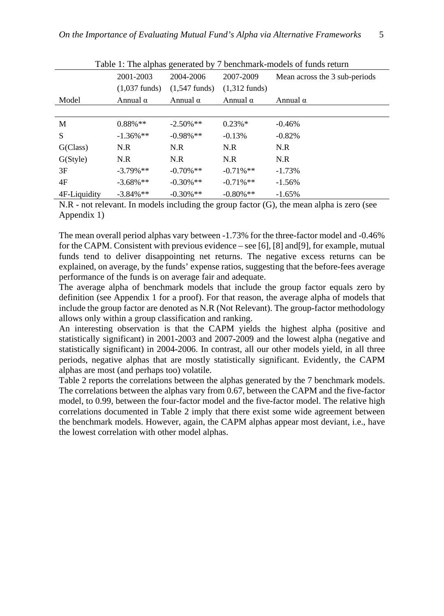|              | Table 1. The alphas generated by 7 beneminary-models of funds return |                         |                         |                               |  |  |  |
|--------------|----------------------------------------------------------------------|-------------------------|-------------------------|-------------------------------|--|--|--|
|              | 2001-2003                                                            | 2004-2006               | 2007-2009               | Mean across the 3 sub-periods |  |  |  |
|              | $(1,037 \text{ funds})$                                              | $(1.547 \text{ funds})$ | $(1,312 \text{ funds})$ |                               |  |  |  |
| Model        | Annual $\alpha$                                                      | Annual $α$              | Annual α                | Annual α                      |  |  |  |
|              |                                                                      |                         |                         |                               |  |  |  |
| M            | $0.88\%**$                                                           | $-2.50\%$ **            | $0.23\%*$               | $-0.46%$                      |  |  |  |
| S            | $-1.36\%**$                                                          | $-0.98\%$ **            | $-0.13%$                | $-0.82%$                      |  |  |  |
| G(Class)     | N.R                                                                  | N.R                     | N.R                     | N.R                           |  |  |  |
| G(Style)     | N.R                                                                  | N.R                     | N.R                     | N.R                           |  |  |  |
| 3F           | $-3.79\%$ **                                                         | $-0.70\%$ **            | $-0.71\%$ **            | $-1.73%$                      |  |  |  |
| 4F           | $-3.68\%**$                                                          | $-0.30\%**$             | $-0.71\%$ **            | $-1.56%$                      |  |  |  |
| 4F-Liquidity | $-3.84\%$ **                                                         | $-0.30\%$ **            | $-0.80\%$ **            | $-1.65%$                      |  |  |  |

Table 1: The alphas generated by 7 benchmark-models of funds return

N.R - not relevant. In models including the group factor (G), the mean alpha is zero (see Appendix 1)

The mean overall period alphas vary between -1.73% for the three-factor model and -0.46% for the CAPM. Consistent with previous evidence – see [6], [8] and[9], for example, mutual funds tend to deliver disappointing net returns. The negative excess returns can be explained, on average, by the funds' expense ratios, suggesting that the before-fees average performance of the funds is on average fair and adequate.

The average alpha of benchmark models that include the group factor equals zero by definition (see Appendix 1 for a proof). For that reason, the average alpha of models that include the group factor are denoted as N.R (Not Relevant). The group-factor methodology allows only within a group classification and ranking.

An interesting observation is that the CAPM yields the highest alpha (positive and statistically significant) in 2001-2003 and 2007-2009 and the lowest alpha (negative and statistically significant) in 2004-2006. In contrast, all our other models yield, in all three periods, negative alphas that are mostly statistically significant. Evidently, the CAPM alphas are most (and perhaps too) volatile.

Table 2 reports the correlations between the alphas generated by the 7 benchmark models. The correlations between the alphas vary from 0.67, between the CAPM and the five-factor model, to 0.99, between the four-factor model and the five-factor model. The relative high correlations documented in Table 2 imply that there exist some wide agreement between the benchmark models. However, again, the CAPM alphas appear most deviant, i.e., have the lowest correlation with other model alphas.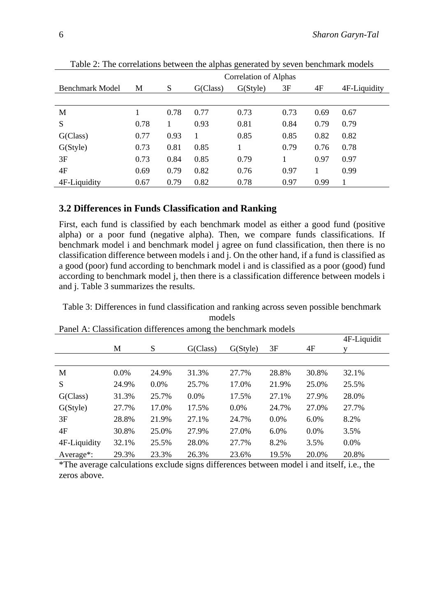|                 | Correlation of Alphas |      |          |                       |      |      |              |
|-----------------|-----------------------|------|----------|-----------------------|------|------|--------------|
| Benchmark Model | М                     | S    | G(Class) | G(S <sub>ty</sub> le) | 3F   | 4F   | 4F-Liquidity |
|                 |                       |      |          |                       |      |      |              |
| M               |                       | 0.78 | 0.77     | 0.73                  | 0.73 | 0.69 | 0.67         |
| S               | 0.78                  |      | 0.93     | 0.81                  | 0.84 | 0.79 | 0.79         |
| G(Class)        | 0.77                  | 0.93 |          | 0.85                  | 0.85 | 0.82 | 0.82         |
| G(Style)        | 0.73                  | 0.81 | 0.85     |                       | 0.79 | 0.76 | 0.78         |
| 3F              | 0.73                  | 0.84 | 0.85     | 0.79                  |      | 0.97 | 0.97         |
| 4F              | 0.69                  | 0.79 | 0.82     | 0.76                  | 0.97 |      | 0.99         |
| 4F-Liquidity    | 0.67                  | 0.79 | 0.82     | 0.78                  | 0.97 | 0.99 |              |

Table 2: The correlations between the alphas generated by seven benchmark models

## **3.2 Differences in Funds Classification and Ranking**

First, each fund is classified by each benchmark model as either a good fund (positive alpha) or a poor fund (negative alpha). Then, we compare funds classifications. If benchmark model i and benchmark model j agree on fund classification, then there is no classification difference between models i and j. On the other hand, if a fund is classified as a good (poor) fund according to benchmark model i and is classified as a poor (good) fund according to benchmark model j, then there is a classification difference between models i and j. Table 3 summarizes the results.

Table 3: Differences in fund classification and ranking across seven possible benchmark models

|              |         |         | ັ        |                       |       |         |             |
|--------------|---------|---------|----------|-----------------------|-------|---------|-------------|
|              |         |         |          |                       |       |         | 4F-Liquidit |
|              | М       | S       | G(Class) | G(S <sub>ty</sub> le) | 3F    | 4F      |             |
|              |         |         |          |                       |       |         |             |
| М            | $0.0\%$ | 24.9%   | 31.3%    | 27.7%                 | 28.8% | 30.8%   | 32.1%       |
| S            | 24.9%   | $0.0\%$ | 25.7%    | 17.0%                 | 21.9% | 25.0%   | 25.5%       |
| G(Class)     | 31.3%   | 25.7%   | $0.0\%$  | 17.5%                 | 27.1% | 27.9%   | 28.0%       |
| G(Style)     | 27.7%   | 17.0%   | 17.5%    | $0.0\%$               | 24.7% | 27.0%   | 27.7%       |
| 3F           | 28.8%   | 21.9%   | 27.1%    | 24.7%                 | 0.0%  | 6.0%    | 8.2%        |
| 4F           | 30.8%   | 25.0%   | 27.9%    | 27.0%                 | 6.0%  | $0.0\%$ | 3.5%        |
| 4F-Liquidity | 32.1%   | 25.5%   | 28.0%    | 27.7%                 | 8.2%  | 3.5%    | 0.0%        |
| Average*:    | 29.3%   | 23.3%   | 26.3%    | 23.6%                 | 19.5% | 20.0%   | 20.8%       |

Panel A: Classification differences among the benchmark models

\*The average calculations exclude signs differences between model i and itself, i.e., the zeros above.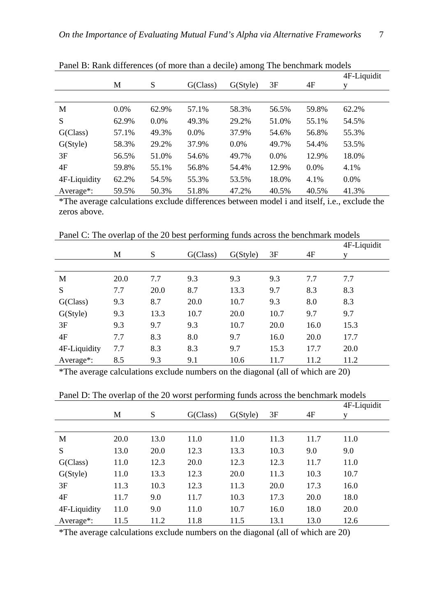|                        |         |         |          |                       |         |         | 4F-Liquidit |
|------------------------|---------|---------|----------|-----------------------|---------|---------|-------------|
|                        | M       | S       | G(Class) | G(S <sub>ty</sub> le) | 3F      | 4F      |             |
|                        |         |         |          |                       |         |         |             |
| М                      | $0.0\%$ | 62.9%   | 57.1%    | 58.3%                 | 56.5%   | 59.8%   | 62.2%       |
| S                      | 62.9%   | $0.0\%$ | 49.3%    | 29.2%                 | 51.0%   | 55.1%   | 54.5%       |
| G(Class)               | 57.1%   | 49.3%   | $0.0\%$  | 37.9%                 | 54.6%   | 56.8%   | 55.3%       |
| G(Style)               | 58.3%   | 29.2%   | 37.9%    | $0.0\%$               | 49.7%   | 54.4%   | 53.5%       |
| 3F                     | 56.5%   | 51.0%   | 54.6%    | 49.7%                 | $0.0\%$ | 12.9%   | 18.0%       |
| 4F                     | 59.8%   | 55.1%   | 56.8%    | 54.4%                 | 12.9%   | $0.0\%$ | 4.1%        |
| 4F-Liquidity           | 62.2%   | 54.5%   | 55.3%    | 53.5%                 | 18.0%   | 4.1%    | 0.0%        |
| Average <sup>*</sup> : | 59.5%   | 50.3%   | 51.8%    | 47.2%                 | 40.5%   | 40.5%   | 41.3%       |

Panel B: Rank differences (of more than a decile) among The benchmark models

\*The average calculations exclude differences between model i and itself, i.e., exclude the zeros above.

Panel C: The overlap of the 20 best performing funds across the benchmark models

|              | М    | S    | G(Class) | G(Style) | 3F   | 4F   | 4F-Liquidit |
|--------------|------|------|----------|----------|------|------|-------------|
|              |      |      |          |          |      |      |             |
| M            | 20.0 | 7.7  | 9.3      | 9.3      | 9.3  | 7.7  | 7.7         |
| S            | 7.7  | 20.0 | 8.7      | 13.3     | 9.7  | 8.3  | 8.3         |
| G(Class)     | 9.3  | 8.7  | 20.0     | 10.7     | 9.3  | 8.0  | 8.3         |
| G(Style)     | 9.3  | 13.3 | 10.7     | 20.0     | 10.7 | 9.7  | 9.7         |
| 3F           | 9.3  | 9.7  | 9.3      | 10.7     | 20.0 | 16.0 | 15.3        |
| 4F           | 7.7  | 8.3  | 8.0      | 9.7      | 16.0 | 20.0 | 17.7        |
| 4F-Liquidity | 7.7  | 8.3  | 8.3      | 9.7      | 15.3 | 17.7 | 20.0        |
| Average*:    | 8.5  | 9.3  | 9.1      | 10.6     | 11.7 | 11.2 | 11.2        |

\*The average calculations exclude numbers on the diagonal (all of which are 20)

| Panel D: The overlap of the 20 worst performing funds across the benchmark models |  |  |
|-----------------------------------------------------------------------------------|--|--|
|                                                                                   |  |  |

|              |      |      |          |          |      |      | 4F-Liquidit |
|--------------|------|------|----------|----------|------|------|-------------|
|              | M    | S    | G(Class) | G(Style) | 3F   | 4F   | v           |
|              |      |      |          |          |      |      |             |
| M            | 20.0 | 13.0 | 11.0     | 11.0     | 11.3 | 11.7 | 11.0        |
| S            | 13.0 | 20.0 | 12.3     | 13.3     | 10.3 | 9.0  | 9.0         |
| G(Class)     | 11.0 | 12.3 | 20.0     | 12.3     | 12.3 | 11.7 | 11.0        |
| G(Style)     | 11.0 | 13.3 | 12.3     | 20.0     | 11.3 | 10.3 | 10.7        |
| 3F           | 11.3 | 10.3 | 12.3     | 11.3     | 20.0 | 17.3 | 16.0        |
| 4F           | 11.7 | 9.0  | 11.7     | 10.3     | 17.3 | 20.0 | 18.0        |
| 4F-Liquidity | 11.0 | 9.0  | 11.0     | 10.7     | 16.0 | 18.0 | 20.0        |
| Average*:    | 11.5 | 11.2 | 11.8     | 11.5     | 13.1 | 13.0 | 12.6        |

\*The average calculations exclude numbers on the diagonal (all of which are 20)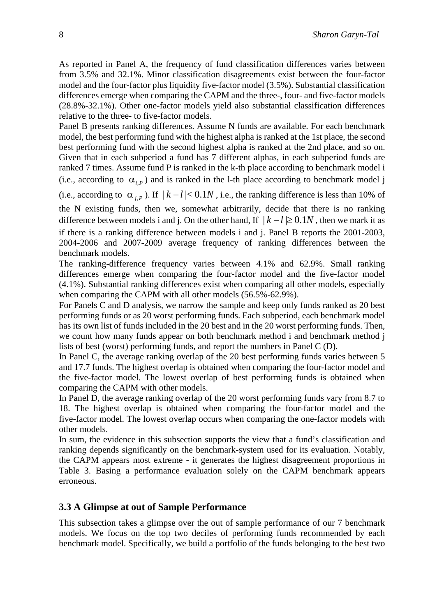As reported in Panel A, the frequency of fund classification differences varies between from 3.5% and 32.1%. Minor classification disagreements exist between the four-factor model and the four-factor plus liquidity five-factor model (3.5%). Substantial classification differences emerge when comparing the CAPM and the three-, four- and five-factor models (28.8%-32.1%). Other one-factor models yield also substantial classification differences relative to the three- to five-factor models.

Panel B presents ranking differences. Assume N funds are available. For each benchmark model, the best performing fund with the highest alpha is ranked at the 1st place, the second best performing fund with the second highest alpha is ranked at the 2nd place, and so on. Given that in each subperiod a fund has 7 different alphas, in each subperiod funds are ranked 7 times. Assume fund P is ranked in the k-th place according to benchmark model i (i.e., according to  $\alpha_{i,p}$ ) and is ranked in the 1-th place according to benchmark model j

(i.e., according to  $\alpha_{i,P}$ ). If  $|k-l| < 0.1N$ , i.e., the ranking difference is less than 10% of

the N existing funds, then we, somewhat arbitrarily, decide that there is no ranking difference between models i and j. On the other hand, If  $|k - l| \ge 0.1N$ , then we mark it as if there is a ranking difference between models i and j. Panel B reports the 2001-2003, 2004-2006 and 2007-2009 average frequency of ranking differences between the benchmark models.

The ranking-difference frequency varies between 4.1% and 62.9%. Small ranking differences emerge when comparing the four-factor model and the five-factor model (4.1%). Substantial ranking differences exist when comparing all other models, especially when comparing the CAPM with all other models (56.5%-62.9%).

For Panels C and D analysis, we narrow the sample and keep only funds ranked as 20 best performing funds or as 20 worst performing funds. Each subperiod, each benchmark model has its own list of funds included in the 20 best and in the 20 worst performing funds. Then, we count how many funds appear on both benchmark method i and benchmark method j lists of best (worst) performing funds, and report the numbers in Panel C (D).

In Panel C, the average ranking overlap of the 20 best performing funds varies between 5 and 17.7 funds. The highest overlap is obtained when comparing the four-factor model and the five-factor model. The lowest overlap of best performing funds is obtained when comparing the CAPM with other models.

In Panel D, the average ranking overlap of the 20 worst performing funds vary from 8.7 to 18. The highest overlap is obtained when comparing the four-factor model and the five-factor model. The lowest overlap occurs when comparing the one-factor models with other models.

In sum, the evidence in this subsection supports the view that a fund's classification and ranking depends significantly on the benchmark-system used for its evaluation. Notably, the CAPM appears most extreme - it generates the highest disagreement proportions in Table 3. Basing a performance evaluation solely on the CAPM benchmark appears erroneous.

## **3.3 A Glimpse at out of Sample Performance**

This subsection takes a glimpse over the out of sample performance of our 7 benchmark models. We focus on the top two deciles of performing funds recommended by each benchmark model. Specifically, we build a portfolio of the funds belonging to the best two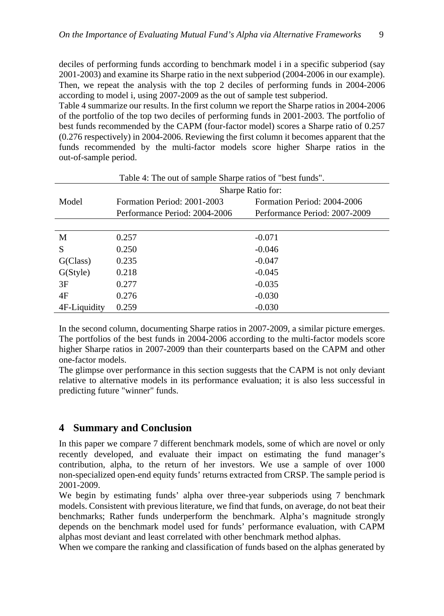deciles of performing funds according to benchmark model i in a specific subperiod (say 2001-2003) and examine its Sharpe ratio in the next subperiod (2004-2006 in our example). Then, we repeat the analysis with the top 2 deciles of performing funds in 2004-2006 according to model i, using 2007-2009 as the out of sample test subperiod.

Table 4 summarize our results. In the first column we report the Sharpe ratios in 2004-2006 of the portfolio of the top two deciles of performing funds in 2001-2003. The portfolio of best funds recommended by the CAPM (four-factor model) scores a Sharpe ratio of 0.257 (0.276 respectively) in 2004-2006. Reviewing the first column it becomes apparent that the funds recommended by the multi-factor models score higher Sharpe ratios in the out-of-sample period.

| Table 4: The out of sample Sharpe ratios of "best funds". |                               |                               |  |  |  |  |  |
|-----------------------------------------------------------|-------------------------------|-------------------------------|--|--|--|--|--|
|                                                           | Sharpe Ratio for:             |                               |  |  |  |  |  |
| Model                                                     | Formation Period: 2001-2003   | Formation Period: 2004-2006   |  |  |  |  |  |
|                                                           | Performance Period: 2004-2006 | Performance Period: 2007-2009 |  |  |  |  |  |
|                                                           |                               |                               |  |  |  |  |  |
| M                                                         | 0.257                         | $-0.071$                      |  |  |  |  |  |
| S                                                         | 0.250                         | $-0.046$                      |  |  |  |  |  |
| G(Class)                                                  | 0.235                         | $-0.047$                      |  |  |  |  |  |
| G(Style)                                                  | 0.218                         | $-0.045$                      |  |  |  |  |  |
| 3F                                                        | 0.277                         | $-0.035$                      |  |  |  |  |  |
| 4F                                                        | 0.276                         | $-0.030$                      |  |  |  |  |  |
| 4F-Liquidity                                              | 0.259                         | $-0.030$                      |  |  |  |  |  |

In the second column, documenting Sharpe ratios in 2007-2009, a similar picture emerges. The portfolios of the best funds in 2004-2006 according to the multi-factor models score higher Sharpe ratios in 2007-2009 than their counterparts based on the CAPM and other one-factor models.

The glimpse over performance in this section suggests that the CAPM is not only deviant relative to alternative models in its performance evaluation; it is also less successful in predicting future "winner" funds.

## **4 Summary and Conclusion**

In this paper we compare 7 different benchmark models, some of which are novel or only recently developed, and evaluate their impact on estimating the fund manager's contribution, alpha, to the return of her investors. We use a sample of over 1000 non-specialized open-end equity funds' returns extracted from CRSP. The sample period is 2001-2009.

We begin by estimating funds' alpha over three-year subperiods using 7 benchmark models. Consistent with previous literature, we find that funds, on average, do not beat their benchmarks; Rather funds underperform the benchmark. Alpha's magnitude strongly depends on the benchmark model used for funds' performance evaluation, with CAPM alphas most deviant and least correlated with other benchmark method alphas.

When we compare the ranking and classification of funds based on the alphas generated by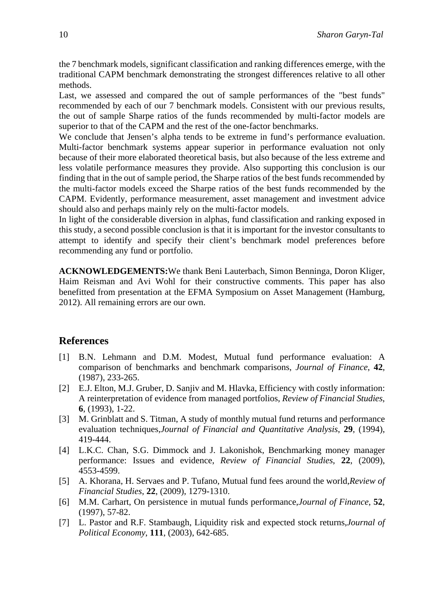the 7 benchmark models, significant classification and ranking differences emerge, with the traditional CAPM benchmark demonstrating the strongest differences relative to all other methods.

Last, we assessed and compared the out of sample performances of the "best funds" recommended by each of our 7 benchmark models. Consistent with our previous results, the out of sample Sharpe ratios of the funds recommended by multi-factor models are superior to that of the CAPM and the rest of the one-factor benchmarks.

We conclude that Jensen's alpha tends to be extreme in fund's performance evaluation. Multi-factor benchmark systems appear superior in performance evaluation not only because of their more elaborated theoretical basis, but also because of the less extreme and less volatile performance measures they provide. Also supporting this conclusion is our finding that in the out of sample period, the Sharpe ratios of the best funds recommended by the multi-factor models exceed the Sharpe ratios of the best funds recommended by the CAPM. Evidently, performance measurement, asset management and investment advice should also and perhaps mainly rely on the multi-factor models.

In light of the considerable diversion in alphas, fund classification and ranking exposed in this study, a second possible conclusion is that it is important for the investor consultants to attempt to identify and specify their client's benchmark model preferences before recommending any fund or portfolio.

**ACKNOWLEDGEMENTS:**We thank Beni Lauterbach, Simon Benninga, Doron Kliger, Haim Reisman and Avi Wohl for their constructive comments. This paper has also benefitted from presentation at the EFMA Symposium on Asset Management (Hamburg, 2012). All remaining errors are our own.

### **References**

- [1] B.N. Lehmann and D.M. Modest, Mutual fund performance evaluation: A comparison of benchmarks and benchmark comparisons, *Journal of Finance*, **42**, (1987), 233-265.
- [2] E.J. Elton, M.J. Gruber, D. Sanjiv and M. Hlavka, Efficiency with costly information: A reinterpretation of evidence from managed portfolios, *Review of Financial Studies*, **6**, (1993), 1-22.
- [3] M. Grinblatt and S. Titman, A study of monthly mutual fund returns and performance evaluation techniques,*Journal of Financial and Quantitative Analysis*, **29**, (1994), 419-444.
- [4] L.K.C. Chan, S.G. Dimmock and J. Lakonishok, Benchmarking money manager performance: Issues and evidence, *Review of Financial Studies*, **22**, (2009), 4553-4599.
- [5] A. Khorana, H. Servaes and P. Tufano, Mutual fund fees around the world,*Review of Financial Studies*, **22**, (2009), 1279-1310.
- [6] M.M. Carhart, On persistence in mutual funds performance,*Journal of Finance*, **52**, (1997), 57-82.
- [7] L. Pastor and R.F. Stambaugh, Liquidity risk and expected stock returns,*Journal of Political Economy*, **111**, (2003), 642-685.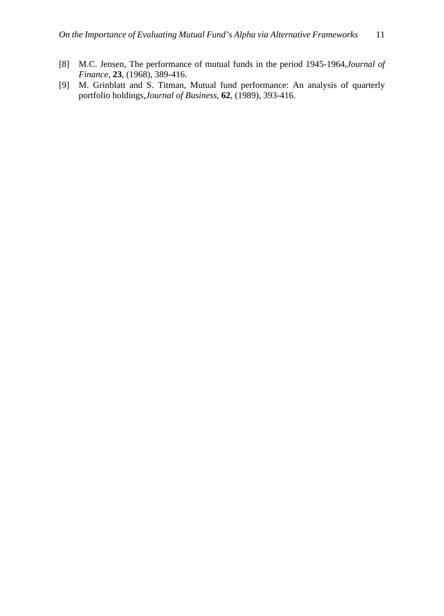- [8] M.C. Jensen, The performance of mutual funds in the period 1945-1964,*Journal of Finance*, **23**, (1968), 389-416.
- [9] M. Grinblatt and S. Titman, Mutual fund performance: An analysis of quarterly portfolio holdings,*Journal of Business*, **62**, (1989), 393-416.